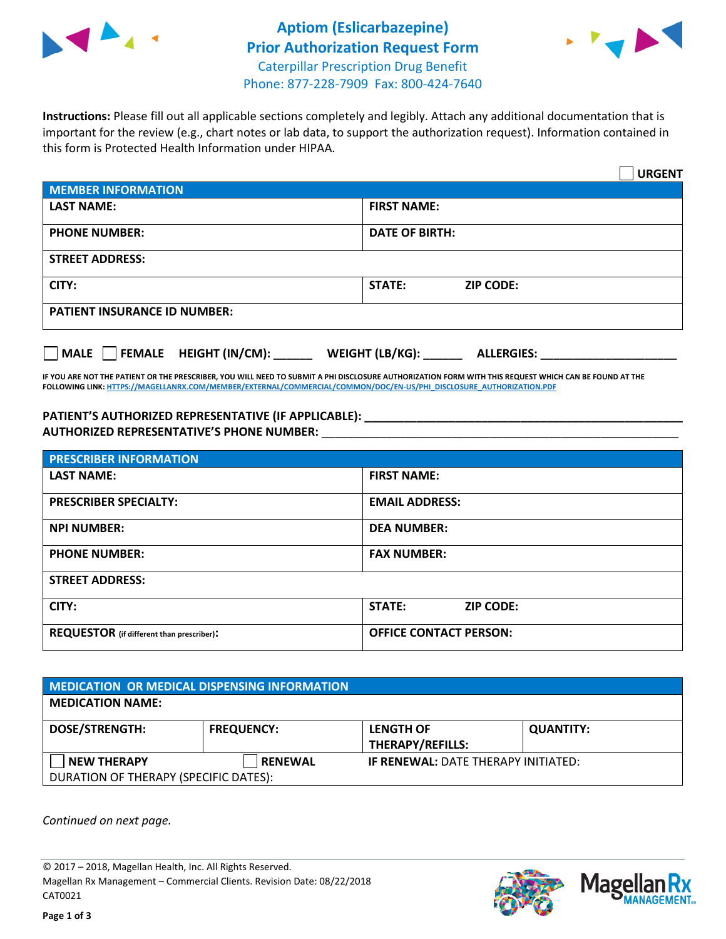



**Instructions:** Please fill out all applicable sections completely and legibly. Attach any additional documentation that is important for the review (e.g., chart notes or lab data, to support the authorization request). Information contained in this form is Protected Health Information under HIPAA.

|                                           | <b>URGENT</b>                          |  |  |  |
|-------------------------------------------|----------------------------------------|--|--|--|
| <b>MEMBER INFORMATION</b>                 |                                        |  |  |  |
| <b>LAST NAME:</b>                         | <b>FIRST NAME:</b>                     |  |  |  |
| <b>PHONE NUMBER:</b>                      | <b>DATE OF BIRTH:</b>                  |  |  |  |
| <b>STREET ADDRESS:</b>                    |                                        |  |  |  |
| CITY:                                     | <b>ZIP CODE:</b><br>STATE:             |  |  |  |
| <b>PATIENT INSURANCE ID NUMBER:</b>       |                                        |  |  |  |
| $\Box$ MALE $\Box$ FEMALE HEIGHT (IN/CM): | WEIGHT (LB/KG): _<br><b>ALLERGIES:</b> |  |  |  |

**IF YOU ARE NOT THE PATIENT OR THE PRESCRIBER, YOU WILL NEED TO SUBMIT A PHI DISCLOSURE AUTHORIZATION FORM WITH THIS REQUEST WHICH CAN BE FOUND AT THE FOLLOWING LINK[: HTTPS://MAGELLANRX.COM/MEMBER/EXTERNAL/COMMERCIAL/COMMON/DOC/EN-US/PHI\\_DISCLOSURE\\_AUTHORIZATION.PDF](https://magellanrx.com/member/external/commercial/common/doc/en-us/PHI_Disclosure_Authorization.pdf)**

**PATIENT'S AUTHORIZED REPRESENTATIVE (IF APPLICABLE): \_\_\_\_\_\_\_\_\_\_\_\_\_\_\_\_\_\_\_\_\_\_\_\_\_\_\_\_\_\_\_\_\_\_\_\_\_\_\_\_\_\_\_\_\_\_\_\_\_ AUTHORIZED REPRESENTATIVE'S PHONE NUMBER:** \_\_\_\_\_\_\_\_\_\_\_\_\_\_\_\_\_\_\_\_\_\_\_\_\_\_\_\_\_\_\_\_\_\_\_\_\_\_\_\_\_\_\_\_\_\_\_\_\_\_\_\_\_\_\_

| <b>PRESCRIBER INFORMATION</b>             |                               |  |  |  |
|-------------------------------------------|-------------------------------|--|--|--|
| <b>LAST NAME:</b>                         | <b>FIRST NAME:</b>            |  |  |  |
| <b>PRESCRIBER SPECIALTY:</b>              | <b>EMAIL ADDRESS:</b>         |  |  |  |
| <b>NPI NUMBER:</b>                        | <b>DEA NUMBER:</b>            |  |  |  |
| <b>PHONE NUMBER:</b>                      | <b>FAX NUMBER:</b>            |  |  |  |
| <b>STREET ADDRESS:</b>                    |                               |  |  |  |
| CITY:                                     | STATE:<br><b>ZIP CODE:</b>    |  |  |  |
| REQUESTOR (if different than prescriber): | <b>OFFICE CONTACT PERSON:</b> |  |  |  |

| <b>MEDICATION OR MEDICAL DISPENSING INFORMATION</b> |                   |                                            |                  |  |  |
|-----------------------------------------------------|-------------------|--------------------------------------------|------------------|--|--|
| <b>MEDICATION NAME:</b>                             |                   |                                            |                  |  |  |
| <b>DOSE/STRENGTH:</b>                               | <b>FREQUENCY:</b> | <b>LENGTH OF</b>                           | <b>QUANTITY:</b> |  |  |
|                                                     |                   | <b>THERAPY/REFILLS:</b>                    |                  |  |  |
| <b>NEW THERAPY</b>                                  | <b>RENEWAL</b>    | <b>IF RENEWAL: DATE THERAPY INITIATED:</b> |                  |  |  |
| DURATION OF THERAPY (SPECIFIC DATES):               |                   |                                            |                  |  |  |

*Continued on next page.*

© 2017 – 2018, Magellan Health, Inc. All Rights Reserved. Magellan Rx Management – Commercial Clients. Revision Date: 08/22/2018 CAT0021



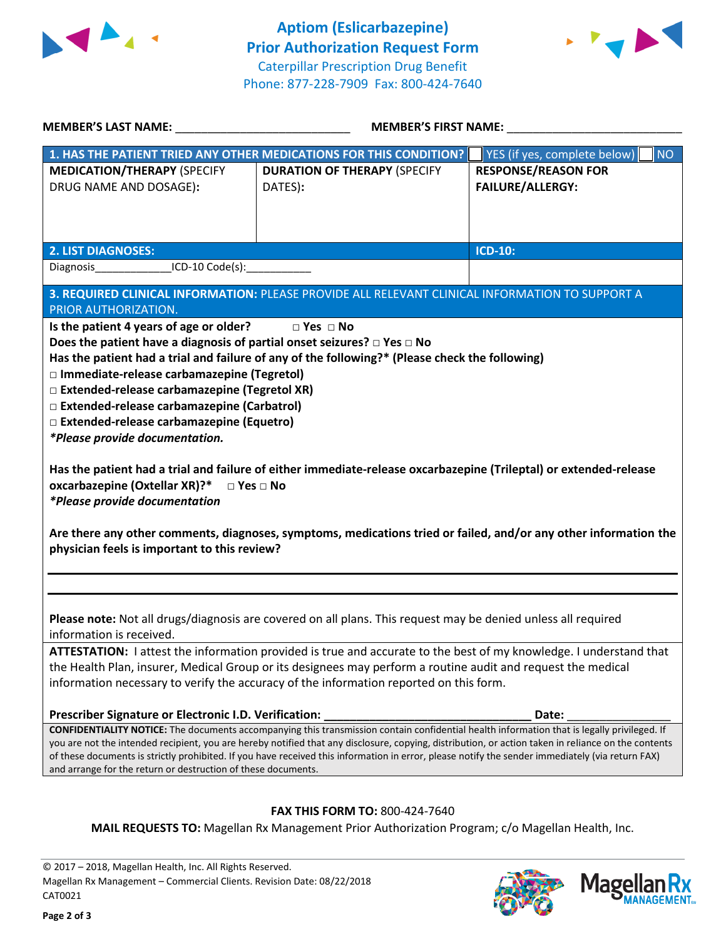



| <b>MEMBER'S LAST NAME:</b> NAME:                                                                                                                                                                                                                                                                                                                                                                                                                                                                                                                                                                                                                                                                                                                                                                                                                                                                                                         | <b>MEMBER'S FIRST NAME:</b>                                        |                                                       |  |  |
|------------------------------------------------------------------------------------------------------------------------------------------------------------------------------------------------------------------------------------------------------------------------------------------------------------------------------------------------------------------------------------------------------------------------------------------------------------------------------------------------------------------------------------------------------------------------------------------------------------------------------------------------------------------------------------------------------------------------------------------------------------------------------------------------------------------------------------------------------------------------------------------------------------------------------------------|--------------------------------------------------------------------|-------------------------------------------------------|--|--|
|                                                                                                                                                                                                                                                                                                                                                                                                                                                                                                                                                                                                                                                                                                                                                                                                                                                                                                                                          | 1. HAS THE PATIENT TRIED ANY OTHER MEDICATIONS FOR THIS CONDITION? | YES (if yes, complete below)<br><b>NO</b>             |  |  |
| <b>MEDICATION/THERAPY (SPECIFY</b><br>DRUG NAME AND DOSAGE):                                                                                                                                                                                                                                                                                                                                                                                                                                                                                                                                                                                                                                                                                                                                                                                                                                                                             | <b>DURATION OF THERAPY (SPECIFY</b><br>DATES):                     | <b>RESPONSE/REASON FOR</b><br><b>FAILURE/ALLERGY:</b> |  |  |
| <b>2. LIST DIAGNOSES:</b>                                                                                                                                                                                                                                                                                                                                                                                                                                                                                                                                                                                                                                                                                                                                                                                                                                                                                                                |                                                                    | <b>ICD-10:</b>                                        |  |  |
| Diagnosis ICD-10 Code(s):                                                                                                                                                                                                                                                                                                                                                                                                                                                                                                                                                                                                                                                                                                                                                                                                                                                                                                                |                                                                    |                                                       |  |  |
| 3. REQUIRED CLINICAL INFORMATION: PLEASE PROVIDE ALL RELEVANT CLINICAL INFORMATION TO SUPPORT A<br>PRIOR AUTHORIZATION.<br>Is the patient 4 years of age or older? Dies Dies<br>Does the patient have a diagnosis of partial onset seizures? $\square$ Yes $\square$ No<br>Has the patient had a trial and failure of any of the following?* (Please check the following)<br>□ Immediate-release carbamazepine (Tegretol)<br>□ Extended-release carbamazepine (Tegretol XR)<br>□ Extended-release carbamazepine (Carbatrol)<br>□ Extended-release carbamazepine (Equetro)<br>*Please provide documentation.<br>Has the patient had a trial and failure of either immediate-release oxcarbazepine (Trileptal) or extended-release<br>oxcarbazepine (Oxtellar XR)?* □ Yes □ No<br><i>*Please provide documentation</i><br>Are there any other comments, diagnoses, symptoms, medications tried or failed, and/or any other information the |                                                                    |                                                       |  |  |
| physician feels is important to this review?                                                                                                                                                                                                                                                                                                                                                                                                                                                                                                                                                                                                                                                                                                                                                                                                                                                                                             |                                                                    |                                                       |  |  |
| Please note: Not all drugs/diagnosis are covered on all plans. This request may be denied unless all required<br>information is received.                                                                                                                                                                                                                                                                                                                                                                                                                                                                                                                                                                                                                                                                                                                                                                                                |                                                                    |                                                       |  |  |
| <b>ATTESTATION:</b> I attest the information provided is true and accurate to the best of my knowledge. I understand that<br>the Health Plan, insurer, Medical Group or its designees may perform a routine audit and request the medical                                                                                                                                                                                                                                                                                                                                                                                                                                                                                                                                                                                                                                                                                                |                                                                    |                                                       |  |  |
| information necessary to verify the accuracy of the information reported on this form.                                                                                                                                                                                                                                                                                                                                                                                                                                                                                                                                                                                                                                                                                                                                                                                                                                                   |                                                                    |                                                       |  |  |
|                                                                                                                                                                                                                                                                                                                                                                                                                                                                                                                                                                                                                                                                                                                                                                                                                                                                                                                                          |                                                                    |                                                       |  |  |
| Prescriber Signature or Electronic I.D. Verification:                                                                                                                                                                                                                                                                                                                                                                                                                                                                                                                                                                                                                                                                                                                                                                                                                                                                                    |                                                                    | Date:                                                 |  |  |
| <b>CONFIDENTIALITY NOTICE:</b> The documents accompanying this transmission contain confidential health information that is legally privileged. If<br>you are not the intended recipient, you are hereby notified that any disclosure, copying, distribution, or action taken in reliance on the contents<br>of these documents is strictly prohibited. If you have received this information in error, please notify the sender immediately (via return FAX)<br>and arrange for the return or destruction of these documents.                                                                                                                                                                                                                                                                                                                                                                                                           |                                                                    |                                                       |  |  |
| FAX THIS FORM TO: 800-424-7640                                                                                                                                                                                                                                                                                                                                                                                                                                                                                                                                                                                                                                                                                                                                                                                                                                                                                                           |                                                                    |                                                       |  |  |

**MAIL REQUESTS TO:** Magellan Rx Management Prior Authorization Program; c/o Magellan Health, Inc.

© 2017 – 2018, Magellan Health, Inc. All Rights Reserved. Magellan Rx Management – Commercial Clients. Revision Date: 08/22/2018 CAT0021